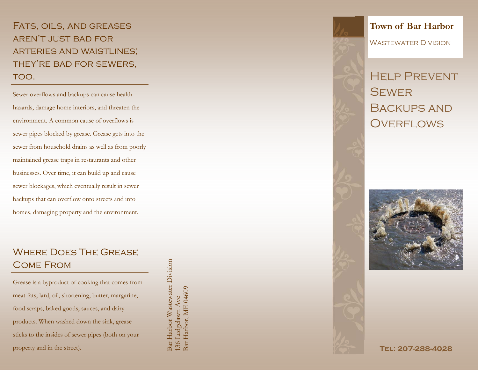Fats, oils, and greases aren't just bad for arteries and waistlines; THEY'RE BAD FOR SEWERS, TOO.

Sewer overflows and backups can cause health hazards, damage home interiors, and threaten the environment. A common cause of overflows is sewer pipes blocked by grease. Grease gets into the sewer from household drains as well as from poorly maintained grease traps in restaurants and other businesses. Over time, it can build up and cause sewer blockages, which eventually result in sewer backups that can overflow onto streets and into homes, damaging property and the environment.

# Where Does The Grease Come From

Grease is a byproduct of cooking that comes from meat fats, lard, oil, shortening, butter, margarine, food scraps, baked goods, sauces, and dairy products. When washed down the sink, grease sticks to the insides of sewer pipes (both on your property and in the street).

Bar Harbor Wastewater Division 3ar Harbor Wastewater Division Bar Harbor, ME 04609 136 Ledgelawn Ave<br>Bar Harbor, ME 04609 136 Ledgelawn Ave

## **Town of Bar Harbor**

Wastewater Division

Help Prevent **SEWER** Backups and OVERFLOWS



TEL: 207-288-4028